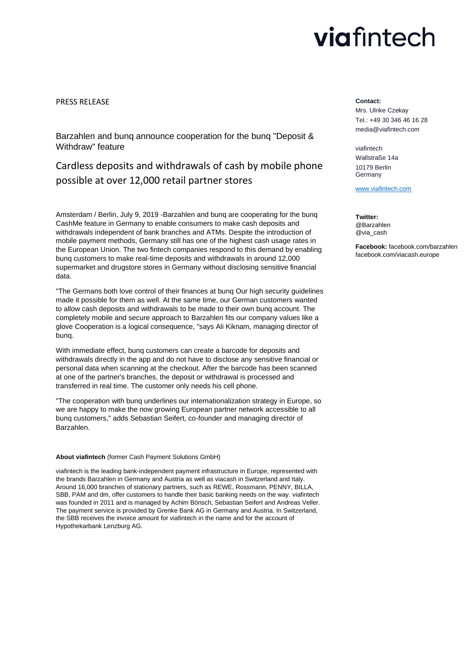# viafintech

### PRESS RELEASE

Barzahlen and bunq announce cooperation for the bunq "Deposit & Withdraw" feature

Cardless deposits and withdrawals of cash by mobile phone possible at over 12,000 retail partner stores

Amsterdam / Berlin, July 9, 2019 -Barzahlen and bunq are cooperating for the bunq CashMe feature in Germany to enable consumers to make cash deposits and withdrawals independent of bank branches and ATMs. Despite the introduction of mobile payment methods, Germany still has one of the highest cash usage rates in the European Union. The two fintech companies respond to this demand by enabling bunq customers to make real-time deposits and withdrawals in around 12,000 supermarket and drugstore stores in Germany without disclosing sensitive financial data.

"The Germans both love control of their finances at bunq Our high security guidelines made it possible for them as well. At the same time, our German customers wanted to allow cash deposits and withdrawals to be made to their own bunq account. The completely mobile and secure approach to Barzahlen fits our company values like a glove Cooperation is a logical consequence, "says Ali Kiknam, managing director of bunq.

With immediate effect, bunq customers can create a barcode for deposits and withdrawals directly in the app and do not have to disclose any sensitive financial or personal data when scanning at the checkout. After the barcode has been scanned at one of the partner's branches, the deposit or withdrawal is processed and transferred in real time. The customer only needs his cell phone.

"The cooperation with bunq underlines our internationalization strategy in Europe, so we are happy to make the now growing European partner network accessible to all bunq customers," adds Sebastian Seifert, co-founder and managing director of Barzahlen.

#### **About viafintech** (former Cash Payment Solutions GmbH)

viafintech is the leading bank-independent payment infrastructure in Europe, represented with the brands Barzahlen in Germany and Austria as well as viacash in Switzerland and Italy. Around 16,000 branches of stationary partners, such as REWE, Rossmann, PENNY, BILLA, SBB, PAM and dm, offer customers to handle their basic banking needs on the way. viafintech was founded in 2011 and is managed by Achim Bönsch, Sebastian Seifert and Andreas Veller. The payment service is provided by Grenke Bank AG in Germany and Austria. In Switzerland, the SBB receives the invoice amount for viafintech in the name and for the account of Hypothekarbank Lenzburg AG.

#### **Contact:**

Mrs. Ulrike Czekay Tel.: +49 30 346 46 16 28 media@viafintech.com

viafintech Wallstraße 14a 10179 Berlin Germany

[www.viafintech.com](http://www.viafintech.com/)

**Twitter:** @Barzahlen @via\_cash

**Facebook:** facebook.com/barzahlen facebook.com/viacash.europe